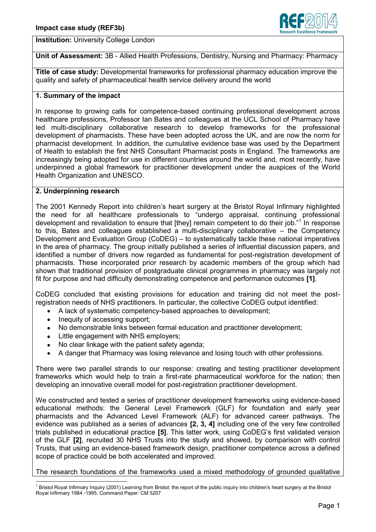

**Institution:** University College London

**Unit of Assessment:** 3B - Allied Health Professions, Dentistry, Nursing and Pharmacy: Pharmacy

**Title of case study:** Developmental frameworks for professional pharmacy education improve the quality and safety of pharmaceutical health service delivery around the world

# **1. Summary of the impact**

In response to growing calls for competence-based continuing professional development across healthcare professions, Professor Ian Bates and colleagues at the UCL School of Pharmacy have led multi-disciplinary collaborative research to develop frameworks for the professional development of pharmacists. These have been adopted across the UK, and are now the norm for pharmacist development. In addition, the cumulative evidence base was used by the Department of Health to establish the first NHS Consultant Pharmacist posts in England. The frameworks are increasingly being adopted for use in different countries around the world and, most recently, have underpinned a global framework for practitioner development under the auspices of the World Health Organization and UNESCO.

## **2. Underpinning research**

The 2001 Kennedy Report into children's heart surgery at the Bristol Royal Infirmary highlighted the need for all healthcare professionals to "undergo appraisal, continuing professional development and revalidation to ensure that [they] remain competent to do their job."<sup>1</sup> In response to this, Bates and colleagues established a multi-disciplinary collaborative – the Competency Development and Evaluation Group (CoDEG) – to systematically tackle these national imperatives in the area of pharmacy. The group initially published a series of influential discussion papers, and identified a number of drivers now regarded as fundamental for post-registration development of pharmacists. These incorporated prior research by academic members of the group which had shown that traditional provision of postgraduate clinical programmes in pharmacy was largely not fit for purpose and had difficulty demonstrating competence and performance outcomes **[1]**.

CoDEG concluded that existing provisions for education and training did not meet the postregistration needs of NHS practitioners. In particular, the collective CoDEG output identified:

- A lack of systematic competency-based approaches to development;  $\bullet$
- Inequity of accessing support;  $\bullet$
- No demonstrable links between formal education and practitioner development;
- Little engagement with NHS employers;  $\bullet$
- No clear linkage with the patient safety agenda;  $\bullet$
- A danger that Pharmacy was losing relevance and losing touch with other professions.

There were two parallel strands to our response: creating and testing practitioner development frameworks which would help to train a first-rate pharmaceutical workforce for the nation; then developing an innovative overall model for post-registration practitioner development.

We constructed and tested a series of practitioner development frameworks using evidence-based educational methods: the General Level Framework (GLF) for foundation and early year pharmacists and the Advanced Level Framework (ALF) for advanced career pathways. The evidence was published as a series of advances **[2, 3, 4]** including one of the very few controlled trials published in educational practice **[5]**. This latter work, using CoDEG's first validated version of the GLF **[2]**, recruited 30 NHS Trusts into the study and showed, by comparison with control Trusts, that using an evidence-based framework design, practitioner competence across a defined scope of practice could be both accelerated and improved.

#### The research foundations of the frameworks used a mixed methodology of grounded qualitative

<sup>1</sup>  $^1$  Bristol Royal Infirmary Inquiry (2001) Learning from Bristol: the report of the public inquiry into children's heart surgery at the Bristol Royal Infirmary 1984 -1995. Command Paper: CM 5207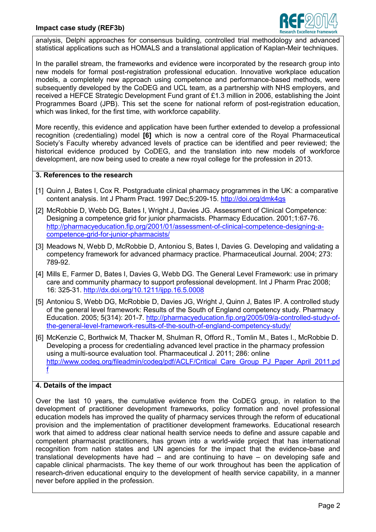## **Impact case study (REF3b)**



analysis, Delphi approaches for consensus building, controlled trial methodology and advanced statistical applications such as HOMALS and a translational application of Kaplan-Meir techniques.

In the parallel stream, the frameworks and evidence were incorporated by the research group into new models for formal post-registration professional education. Innovative workplace education models, a completely new approach using competence and performance-based methods, were subsequently developed by the CoDEG and UCL team, as a partnership with NHS employers, and received a HEFCE Strategic Development Fund grant of £1.3 million in 2006, establishing the Joint Programmes Board (JPB). This set the scene for national reform of post-registration education, which was linked, for the first time, with workforce capability.

More recently, this evidence and application have been further extended to develop a professional recognition (credentialing) model **[6]** which is now a central core of the Royal Pharmaceutical Society's Faculty whereby advanced levels of practice can be identified and peer reviewed; the historical evidence produced by CoDEG, and the translation into new models of workforce development, are now being used to create a new royal college for the profession in 2013.

#### **3. References to the research**

- [1] Quinn J, Bates I, Cox R. Postgraduate clinical pharmacy programmes in the UK: a comparative content analysis. Int J Pharm Pract. 1997 Dec;5:209-15.<http://doi.org/dmk4gs>
- [2] McRobbie D, Webb DG, Bates I, Wright J, Davies JG. Assessment of Clinical Competence: Designing a competence grid for junior pharmacists. Pharmacy Education. 2001;1:67-76. [http://pharmacyeducation.fip.org/2001/01/assessment-of-clinical-competence-designing-a](http://pharmacyeducation.fip.org/2001/01/assessment-of-clinical-competence-designing-a-competence-grid-for-junior-pharmacists/)[competence-grid-for-junior-pharmacists/](http://pharmacyeducation.fip.org/2001/01/assessment-of-clinical-competence-designing-a-competence-grid-for-junior-pharmacists/)
- [3] Meadows N, Webb D, McRobbie D, Antoniou S, Bates I, Davies G. Developing and validating a competency framework for advanced pharmacy practice. Pharmaceutical Journal. 2004; 273: 789-92.
- [4] Mills E, Farmer D, Bates I, Davies G, Webb DG. The General Level Framework: use in primary care and community pharmacy to support professional development. Int J Pharm Prac 2008; 16: 325-31. <http://dx.doi.org/10.1211/ijpp.16.5.0008>
- [5] Antoniou S, Webb DG, McRobbie D, Davies JG, Wright J, Quinn J, Bates IP. A controlled study of the general level framework: Results of the South of England competency study. Pharmacy Education. 2005; 5(314): 201-7. [http://pharmacyeducation.fip.org/2005/09/a-controlled-study-of](http://pharmacyeducation.fip.org/2005/09/a-controlled-study-of-the-general-level-framework-results-of-the-south-of-england-competency-study/)[the-general-level-framework-results-of-the-south-of-england-competency-study/](http://pharmacyeducation.fip.org/2005/09/a-controlled-study-of-the-general-level-framework-results-of-the-south-of-england-competency-study/)
- [6] McKenzie C, Borthwick M, Thacker M, Shulman R, Offord R., Tomlin M., Bates I., McRobbie D. Developing a process for credentialing advanced level practice in the pharmacy profession using a multi-source evaluation tool. Pharmaceutical J. 2011; 286: online [http://www.codeg.org/fileadmin/codeg/pdf/ACLF/Critical\\_Care\\_Group\\_PJ\\_Paper\\_April\\_2011.pd](http://www.codeg.org/fileadmin/codeg/pdf/ACLF/Critical_Care_Group_PJ_Paper_April_2011.pdf) [f](http://www.codeg.org/fileadmin/codeg/pdf/ACLF/Critical_Care_Group_PJ_Paper_April_2011.pdf)

#### **4. Details of the impact**

Over the last 10 years, the cumulative evidence from the CoDEG group, in relation to the development of practitioner development frameworks, policy formation and novel professional education models has improved the quality of pharmacy services through the reform of educational provision and the implementation of practitioner development frameworks. Educational research work that aimed to address clear national health service needs to define and assure capable and competent pharmacist practitioners, has grown into a world-wide project that has international recognition from nation states and UN agencies for the impact that the evidence-base and translational developments have had – and are continuing to have – on developing safe and capable clinical pharmacists. The key theme of our work throughout has been the application of research-driven educational enquiry to the development of health service capability, in a manner never before applied in the profession.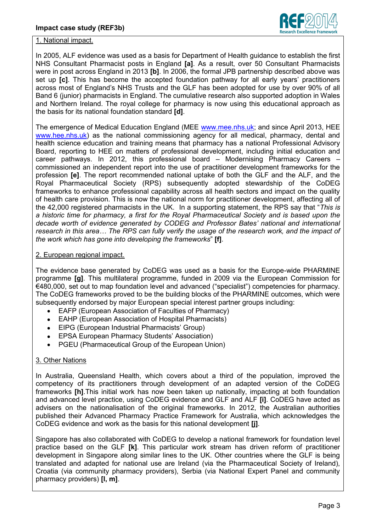

### 1. National impact.

In 2005, ALF evidence was used as a basis for Department of Health guidance to establish the first NHS Consultant Pharmacist posts in England **[a]**. As a result, over 50 Consultant Pharmacists were in post across England in 2013 **[b]**. In 2006, the formal JPB partnership described above was set up **[c]**. This has become the accepted foundation pathway for all early years' practitioners across most of England's NHS Trusts and the GLF has been adopted for use by over 90% of all Band 6 (junior) pharmacists in England. The cumulative research also supported adoption in Wales and Northern Ireland. The royal college for pharmacy is now using this educational approach as the basis for its national foundation standard **[d]**.

The emergence of Medical Education England (MEE [www.mee.nhs.uk;](http://www.mee.nhs.uk/) and since April 2013, HEE [www.hee.nhs.uk\)](http://www.hee.nhs.uk/) as the national commissioning agency for all medical, pharmacy, dental and health science education and training means that pharmacy has a national Professional Advisory Board, reporting to HEE on matters of professional development, including initial education and career pathways. In 2012, this professional board – Modernising Pharmacy Careers – commissioned an independent report into the use of practitioner development frameworks for the profession **[e]**. The report recommended national uptake of both the GLF and the ALF, and the Royal Pharmaceutical Society (RPS) subsequently adopted stewardship of the CoDEG frameworks to enhance professional capability across all health sectors and impact on the quality of health care provision. This is now the national norm for practitioner development, affecting all of the 42,000 registered pharmacists in the UK. In a supporting statement, the RPS say that "*This is a historic time for pharmacy, a first for the Royal Pharmaceutical Society and is based upon the decade worth of evidence generated by CODEG and Professor Bates' national and international research in this area… The RPS can fully verify the usage of the research work, and the impact of the work which has gone into developing the frameworks*" **[f]**.

### 2. European regional impact.

The evidence base generated by CoDEG was used as a basis for the Europe-wide PHARMINE programme **[g]**. This multilateral programme, funded in 2009 via the European Commission for €480,000, set out to map foundation level and advanced ("specialist") competencies for pharmacy. The CoDEG frameworks proved to be the building blocks of the PHARMINE outcomes, which were subsequently endorsed by major European special interest partner groups including:

- EAFP (European Association of Faculties of Pharmacy)  $\bullet$
- EAHP (European Association of Hospital Pharmacists)  $\bullet$
- EIPG (European Industrial Pharmacists' Group)
- EPSA European Pharmacy Students' Association)
- PGEU (Pharmaceutical Group of the European Union)  $\bullet$

# 3. Other Nations

In Australia, Queensland Health, which covers about a third of the population, improved the competency of its practitioners through development of an adapted version of the CoDEG frameworks **[h]**.This initial work has now been taken up nationally, impacting at both foundation and advanced level practice, using CoDEG evidence and GLF and ALF **[i]**. CoDEG have acted as advisers on the nationalisation of the original frameworks. In 2012, the Australian authorities published their Advanced Pharmacy Practice Framework for Australia, which acknowledges the CoDEG evidence and work as the basis for this national development **[j]**.

Singapore has also collaborated with CoDEG to develop a national framework for foundation level practice based on the GLF **[k]**. This particular work stream has driven reform of practitioner development in Singapore along similar lines to the UK. Other countries where the GLF is being translated and adapted for national use are Ireland (via the Pharmaceutical Society of Ireland), Croatia (via community pharmacy providers), Serbia (via National Expert Panel and community pharmacy providers) **[l, m]**.